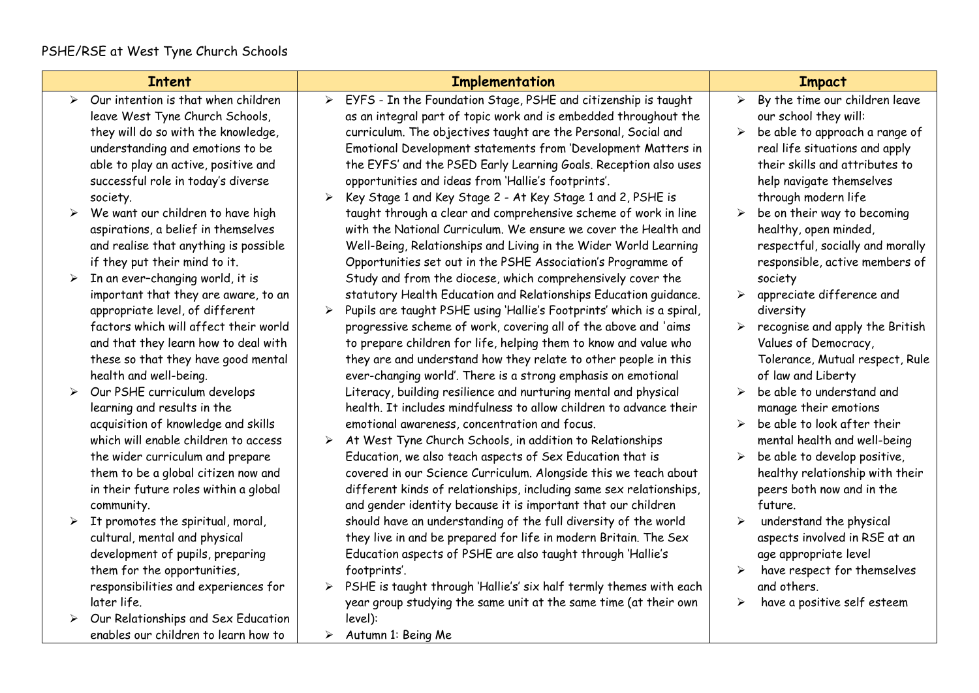|                       | <b>Intent</b>                                                                 |                       | <b>Implementation</b>                                                                                                                   |                       | <b>Impact</b>                                                    |
|-----------------------|-------------------------------------------------------------------------------|-----------------------|-----------------------------------------------------------------------------------------------------------------------------------------|-----------------------|------------------------------------------------------------------|
| $\blacktriangleright$ | Our intention is that when children<br>leave West Tyne Church Schools,        | $\blacktriangleright$ | EYFS - In the Foundation Stage, PSHE and citizenship is taught<br>as an integral part of topic work and is embedded throughout the      | $\blacktriangleright$ | By the time our children leave<br>our school they will:          |
|                       | they will do so with the knowledge,<br>understanding and emotions to be       |                       | curriculum. The objectives taught are the Personal, Social and<br>Emotional Development statements from 'Development Matters in         | $\blacktriangleright$ | be able to approach a range of<br>real life situations and apply |
|                       | able to play an active, positive and                                          |                       | the EYFS' and the PSED Early Learning Goals. Reception also uses                                                                        |                       | their skills and attributes to                                   |
|                       | successful role in today's diverse<br>society.                                | ➤                     | opportunities and ideas from 'Hallie's footprints'.<br>Key Stage 1 and Key Stage 2 - At Key Stage 1 and 2, PSHE is                      |                       | help navigate themselves<br>through modern life                  |
|                       | We want our children to have high                                             |                       | taught through a clear and comprehensive scheme of work in line                                                                         | ➤                     | be on their way to becoming                                      |
|                       | aspirations, a belief in themselves                                           |                       | with the National Curriculum. We ensure we cover the Health and                                                                         |                       | healthy, open minded,                                            |
|                       | and realise that anything is possible                                         |                       | Well-Being, Relationships and Living in the Wider World Learning                                                                        |                       | respectful, socially and morally                                 |
| ➤                     | if they put their mind to it.<br>In an ever-changing world, it is             |                       | Opportunities set out in the PSHE Association's Programme of<br>Study and from the diocese, which comprehensively cover the             |                       | responsible, active members of<br>society                        |
|                       | important that they are aware, to an                                          |                       | statutory Health Education and Relationships Education guidance.                                                                        | ➤                     | appreciate difference and                                        |
|                       | appropriate level, of different                                               |                       | Pupils are taught PSHE using 'Hallie's Footprints' which is a spiral,                                                                   |                       | diversity                                                        |
|                       | factors which will affect their world<br>and that they learn how to deal with |                       | progressive scheme of work, covering all of the above and 'aims<br>to prepare children for life, helping them to know and value who     | ➤                     | recognise and apply the British<br>Values of Democracy,          |
|                       | these so that they have good mental                                           |                       | they are and understand how they relate to other people in this                                                                         |                       | Tolerance, Mutual respect, Rule                                  |
|                       | health and well-being.                                                        |                       | ever-changing world'. There is a strong emphasis on emotional                                                                           |                       | of law and Liberty                                               |
|                       | Our PSHE curriculum develops<br>learning and results in the                   |                       | Literacy, building resilience and nurturing mental and physical<br>health. It includes mindfulness to allow children to advance their   | ➤                     | be able to understand and<br>manage their emotions               |
|                       | acquisition of knowledge and skills                                           |                       | emotional awareness, concentration and focus.                                                                                           | ➤                     | be able to look after their                                      |
|                       | which will enable children to access                                          | ➤                     | At West Tyne Church Schools, in addition to Relationships                                                                               |                       | mental health and well-being                                     |
|                       | the wider curriculum and prepare                                              |                       | Education, we also teach aspects of Sex Education that is                                                                               | ➤                     | be able to develop positive,                                     |
|                       | them to be a global citizen now and<br>in their future roles within a global  |                       | covered in our Science Curriculum. Alongside this we teach about<br>different kinds of relationships, including same sex relationships, |                       | healthy relationship with their<br>peers both now and in the     |
|                       | community.                                                                    |                       | and gender identity because it is important that our children                                                                           |                       | future.                                                          |
|                       | It promotes the spiritual, moral,                                             |                       | should have an understanding of the full diversity of the world                                                                         | $\blacktriangleright$ | understand the physical                                          |
|                       | cultural, mental and physical<br>development of pupils, preparing             |                       | they live in and be prepared for life in modern Britain. The Sex<br>Education aspects of PSHE are also taught through 'Hallie's         |                       | aspects involved in RSE at an<br>age appropriate level           |
|                       | them for the opportunities,                                                   |                       | footprints'.                                                                                                                            | ➤                     | have respect for themselves                                      |
|                       | responsibilities and experiences for                                          |                       | PSHE is taught through 'Hallie's' six half termly themes with each                                                                      |                       | and others.                                                      |
|                       | later life.                                                                   |                       | year group studying the same unit at the same time (at their own                                                                        | ➤                     | have a positive self esteem                                      |
|                       | Our Relationships and Sex Education<br>enables our children to learn how to   | ≻                     | level):<br>Autumn 1: Being Me                                                                                                           |                       |                                                                  |